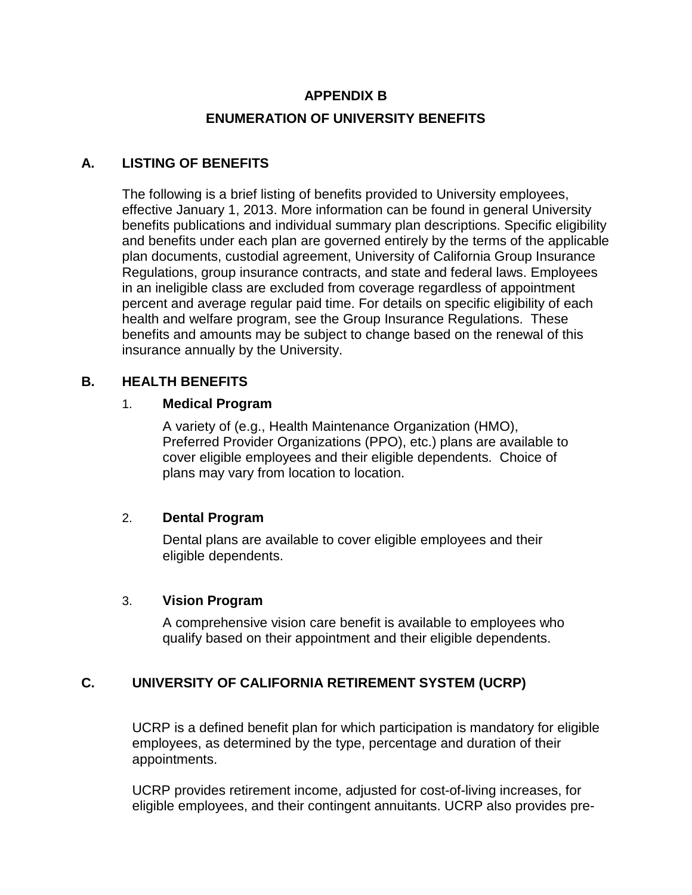# **APPENDIX B ENUMERATION OF UNIVERSITY BENEFITS**

## **A. LISTING OF BENEFITS**

The following is a brief listing of benefits provided to University employees, effective January 1, 2013. More information can be found in general University benefits publications and individual summary plan descriptions. Specific eligibility and benefits under each plan are governed entirely by the terms of the applicable plan documents, custodial agreement, University of California Group Insurance Regulations, group insurance contracts, and state and federal laws. Employees in an ineligible class are excluded from coverage regardless of appointment percent and average regular paid time. For details on specific eligibility of each health and welfare program, see the Group Insurance Regulations. These benefits and amounts may be subject to change based on the renewal of this insurance annually by the University.

#### **B. HEALTH BENEFITS**

#### 1. **Medical Program**

A variety of (e.g., Health Maintenance Organization (HMO), Preferred Provider Organizations (PPO), etc.) plans are available to cover eligible employees and their eligible dependents. Choice of plans may vary from location to location.

#### 2. **Dental Program**

Dental plans are available to cover eligible employees and their eligible dependents.

#### 3. **Vision Program**

A comprehensive vision care benefit is available to employees who qualify based on their appointment and their eligible dependents.

## **C. UNIVERSITY OF CALIFORNIA RETIREMENT SYSTEM (UCRP)**

UCRP is a defined benefit plan for which participation is mandatory for eligible employees, as determined by the type, percentage and duration of their appointments.

UCRP provides retirement income, adjusted for cost-of-living increases, for eligible employees, and their contingent annuitants. UCRP also provides pre-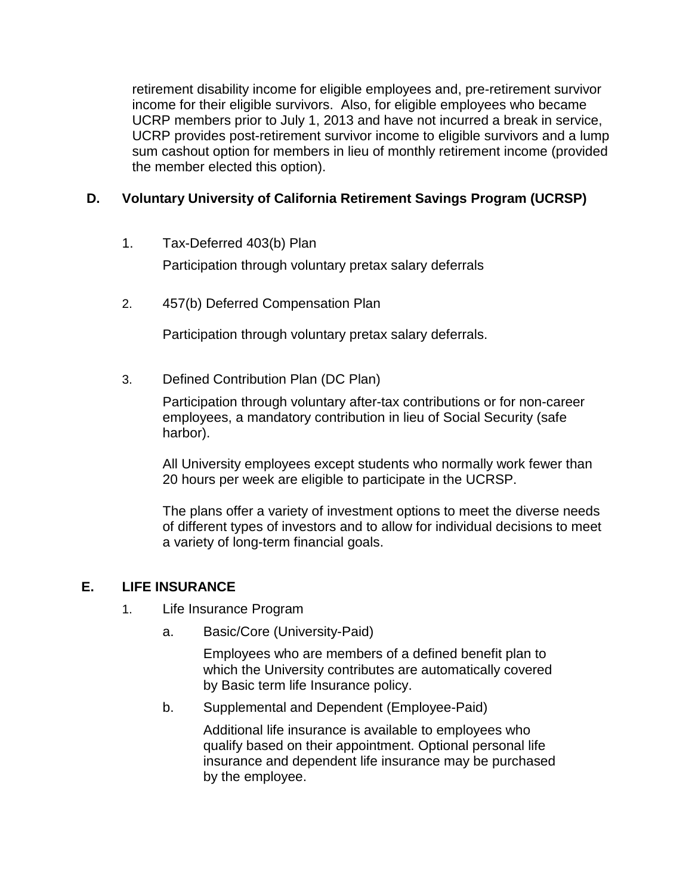retirement disability income for eligible employees and, pre-retirement survivor income for their eligible survivors. Also, for eligible employees who became UCRP members prior to July 1, 2013 and have not incurred a break in service, UCRP provides post-retirement survivor income to eligible survivors and a lump sum cashout option for members in lieu of monthly retirement income (provided the member elected this option).

# **D. Voluntary University of California Retirement Savings Program (UCRSP)**

1. Tax-Deferred 403(b) Plan

Participation through voluntary pretax salary deferrals

2. 457(b) Deferred Compensation Plan

Participation through voluntary pretax salary deferrals.

3. Defined Contribution Plan (DC Plan)

Participation through voluntary after-tax contributions or for non-career employees, a mandatory contribution in lieu of Social Security (safe harbor).

All University employees except students who normally work fewer than 20 hours per week are eligible to participate in the UCRSP.

The plans offer a variety of investment options to meet the diverse needs of different types of investors and to allow for individual decisions to meet a variety of long-term financial goals.

## **E. LIFE INSURANCE**

- 1. Life Insurance Program
	- a. Basic/Core (University-Paid)

Employees who are members of a defined benefit plan to which the University contributes are automatically covered by Basic term life Insurance policy.

b. Supplemental and Dependent (Employee-Paid)

Additional life insurance is available to employees who qualify based on their appointment. Optional personal life insurance and dependent life insurance may be purchased by the employee.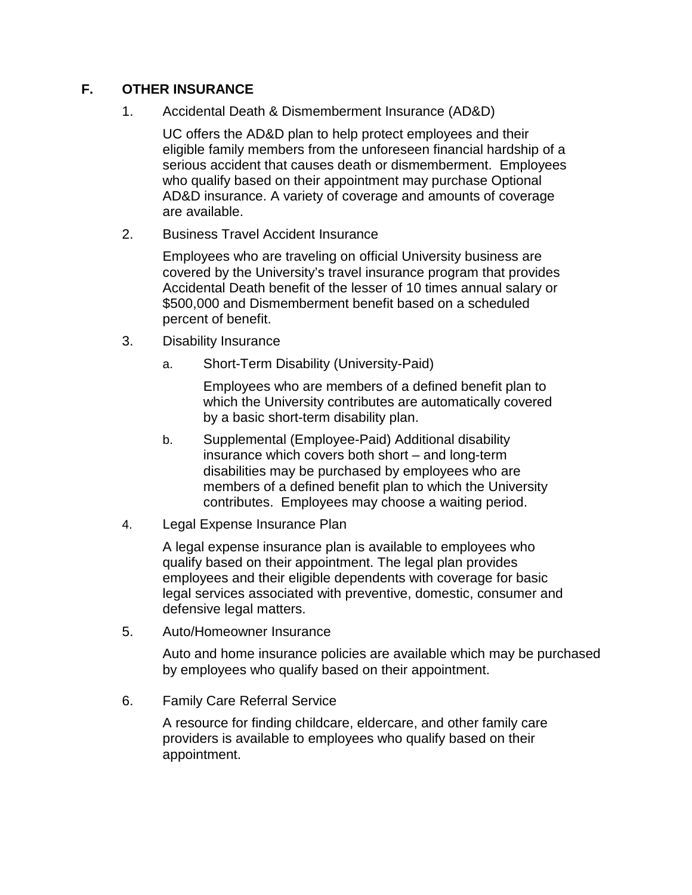## **F. OTHER INSURANCE**

1. Accidental Death & Dismemberment Insurance (AD&D)

UC offers the AD&D plan to help protect employees and their eligible family members from the unforeseen financial hardship of a serious accident that causes death or dismemberment. Employees who qualify based on their appointment may purchase Optional AD&D insurance. A variety of coverage and amounts of coverage are available.

2. Business Travel Accident Insurance

Employees who are traveling on official University business are covered by the University's travel insurance program that provides Accidental Death benefit of the lesser of 10 times annual salary or \$500,000 and Dismemberment benefit based on a scheduled percent of benefit.

- 3. Disability Insurance
	- a. Short-Term Disability (University-Paid)

Employees who are members of a defined benefit plan to which the University contributes are automatically covered by a basic short-term disability plan.

- b. Supplemental (Employee-Paid) Additional disability insurance which covers both short – and long-term disabilities may be purchased by employees who are members of a defined benefit plan to which the University contributes. Employees may choose a waiting period.
- 4. Legal Expense Insurance Plan

A legal expense insurance plan is available to employees who qualify based on their appointment. The legal plan provides employees and their eligible dependents with coverage for basic legal services associated with preventive, domestic, consumer and defensive legal matters.

5. Auto/Homeowner Insurance

Auto and home insurance policies are available which may be purchased by employees who qualify based on their appointment.

6. Family Care Referral Service

A resource for finding childcare, eldercare, and other family care providers is available to employees who qualify based on their appointment.